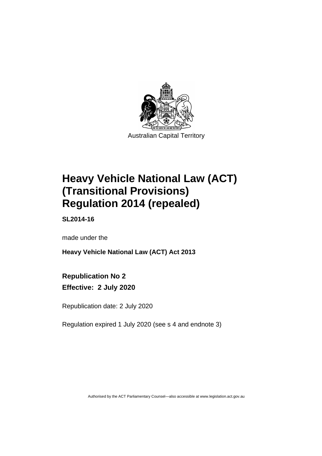

# **Heavy Vehicle National Law (ACT) (Transitional Provisions) Regulation 2014 (repealed)**

**SL2014-16**

made under the

**Heavy Vehicle National Law (ACT) Act 2013**

## **Republication No 2 Effective: 2 July 2020**

Republication date: 2 July 2020

Regulation expired 1 July 2020 (see s 4 and endnote 3)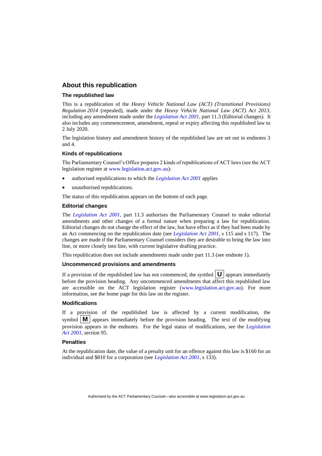### **About this republication**

#### **The republished law**

This is a republication of the *Heavy Vehicle National Law (ACT) (Transitional Provisions) Regulation 2014* (repealed), made under the *Heavy Vehicle National Law (ACT) Act 2013*, including any amendment made under the *[Legislation Act 2001](http://www.legislation.act.gov.au/a/2001-14)*, part 11.3 (Editorial changes).It also includes any commencement, amendment, repeal or expiry affecting this republished law to 2 July 2020.

The legislation history and amendment history of the republished law are set out in endnotes 3 and 4.

#### **Kinds of republications**

The Parliamentary Counsel's Office prepares 2 kinds of republications of ACT laws (see the ACT legislation register at [www.legislation.act.gov.au\)](http://www.legislation.act.gov.au/):

- authorised republications to which the *[Legislation Act 2001](http://www.legislation.act.gov.au/a/2001-14)* applies
- unauthorised republications.

The status of this republication appears on the bottom of each page.

#### **Editorial changes**

The *[Legislation Act 2001](http://www.legislation.act.gov.au/a/2001-14)*, part 11.3 authorises the Parliamentary Counsel to make editorial amendments and other changes of a formal nature when preparing a law for republication. Editorial changes do not change the effect of the law, but have effect as if they had been made by an Act commencing on the republication date (see *[Legislation Act 2001](http://www.legislation.act.gov.au/a/2001-14)*, s 115 and s 117). The changes are made if the Parliamentary Counsel considers they are desirable to bring the law into line, or more closely into line, with current legislative drafting practice.

This republication does not include amendments made under part 11.3 (see endnote 1).

#### **Uncommenced provisions and amendments**

If a provision of the republished law has not commenced, the symbol  $\mathbf{U}$  appears immediately before the provision heading. Any uncommenced amendments that affect this republished law are accessible on the ACT legislation register [\(www.legislation.act.gov.au\)](http://www.legislation.act.gov.au/). For more information, see the home page for this law on the register.

#### **Modifications**

If a provision of the republished law is affected by a current modification, the symbol  $\mathbf{M}$  appears immediately before the provision heading. The text of the modifying provision appears in the endnotes. For the legal status of modifications, see the *[Legislation](http://www.legislation.act.gov.au/a/2001-14)  Act [2001](http://www.legislation.act.gov.au/a/2001-14)*, section 95.

#### **Penalties**

At the republication date, the value of a penalty unit for an offence against this law is \$160 for an individual and \$810 for a corporation (see *[Legislation Act 2001](http://www.legislation.act.gov.au/a/2001-14)*, s 133).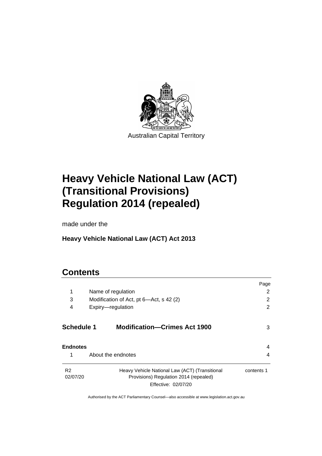

# **Heavy Vehicle National Law (ACT) (Transitional Provisions) Regulation 2014 (repealed)**

made under the

# **Heavy Vehicle National Law (ACT) Act 2013**

## **Contents**

|                            |                                                                                                                 | Page       |  |
|----------------------------|-----------------------------------------------------------------------------------------------------------------|------------|--|
| 1                          | 2                                                                                                               |            |  |
| 3                          | Modification of Act, pt 6-Act, s 42 (2)<br>4<br>Expiry-regulation                                               |            |  |
|                            |                                                                                                                 |            |  |
| <b>Schedule 1</b>          | <b>Modification-Crimes Act 1900</b>                                                                             | 3          |  |
| <b>Endnotes</b>            |                                                                                                                 | 4          |  |
| 1                          | About the endnotes                                                                                              | 4          |  |
| R <sub>2</sub><br>02/07/20 | Heavy Vehicle National Law (ACT) (Transitional<br>Provisions) Regulation 2014 (repealed)<br>Effective: 02/07/20 | contents 1 |  |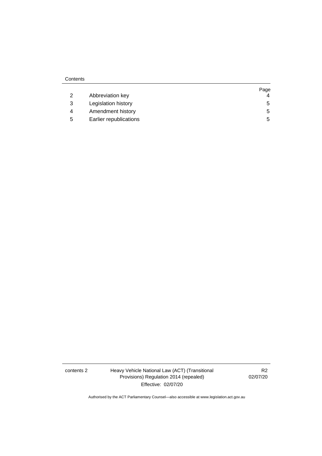|   |                        | Page |
|---|------------------------|------|
|   | Abbreviation key       | 4    |
|   | Legislation history    | 5    |
|   | Amendment history      | 5    |
| 5 | Earlier republications | 5    |

contents 2 Heavy Vehicle National Law (ACT) (Transitional Provisions) Regulation 2014 (repealed) Effective: 02/07/20

R2 02/07/20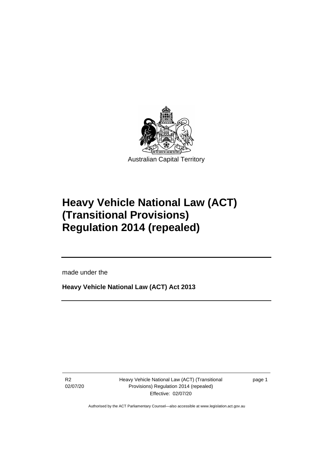

# **Heavy Vehicle National Law (ACT) (Transitional Provisions) Regulation 2014 (repealed)**

made under the

**Heavy Vehicle National Law (ACT) Act 2013**

R2 02/07/20

ֺ֝

Heavy Vehicle National Law (ACT) (Transitional Provisions) Regulation 2014 (repealed) Effective: 02/07/20

page 1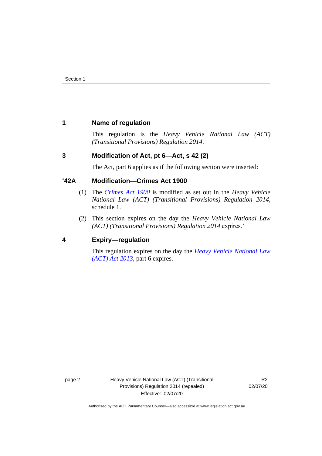## <span id="page-5-0"></span>**1 Name of regulation**

This regulation is the *Heavy Vehicle National Law (ACT) (Transitional Provisions) Regulation 2014*.

## <span id="page-5-1"></span>**3 Modification of Act, pt 6—Act, s 42 (2)**

The Act, part 6 applies as if the following section were inserted:

## **'42A Modification—Crimes Act 1900**

- (1) The *[Crimes Act 1900](http://www.legislation.act.gov.au/a/1900-40)* is modified as set out in the *Heavy Vehicle National Law (ACT) (Transitional Provisions) Regulation 2014*, schedule 1.
- (2) This section expires on the day the *Heavy Vehicle National Law (ACT) (Transitional Provisions) Regulation 2014* expires.'

## <span id="page-5-2"></span>**4 Expiry—regulation**

This regulation expires on the day the *[Heavy Vehicle National Law](http://www.legislation.act.gov.au/a/2013-51/default.asp)  [\(ACT\) Act 2013](http://www.legislation.act.gov.au/a/2013-51/default.asp)*, part 6 expires.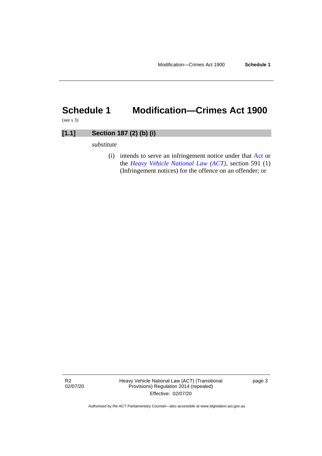# <span id="page-6-0"></span>**Schedule 1 Modification—Crimes Act 1900**

(see s 3)

| [1.1] | Section 187 (2) (b) (i) |
|-------|-------------------------|
|       |                         |

*substitute*

(i) intends to serve an infringement notice under that [Act o](http://www.legislation.act.gov.au/a/1999-77/)r the *[Heavy Vehicle National Law \(ACT\)](http://www.legislation.act.gov.au/a/db_49155/)*, section 591 (1) (Infringement notices) for the offence on an offender; or

R2 02/07/20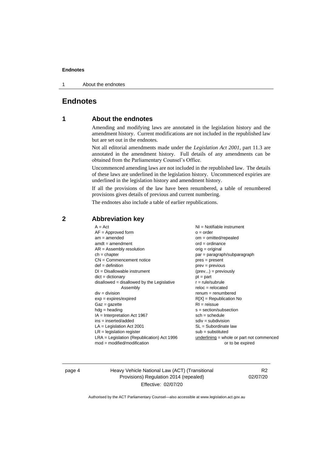#### **Endnotes**

1 About the endnotes

## <span id="page-7-1"></span><span id="page-7-0"></span>**Endnotes**

## **1 About the endnotes**

Amending and modifying laws are annotated in the legislation history and the amendment history. Current modifications are not included in the republished law but are set out in the endnotes.

Not all editorial amendments made under the *Legislation Act 2001*, part 11.3 are annotated in the amendment history. Full details of any amendments can be obtained from the Parliamentary Counsel's Office.

Uncommenced amending laws are not included in the republished law. The details of these laws are underlined in the legislation history. Uncommenced expiries are underlined in the legislation history and amendment history.

If all the provisions of the law have been renumbered, a table of renumbered provisions gives details of previous and current numbering.

The endnotes also include a table of earlier republications.

| $A = Act$                                  | $NI =$ Notifiable instrument              |
|--------------------------------------------|-------------------------------------------|
| $AF =$ Approved form                       | $o = order$                               |
| $am = amended$                             | $om = omitted/repealed$                   |
| $amdt = amendment$                         | $ord = ordinance$                         |
| $AR = Assembly resolution$                 | $orig = original$                         |
| $ch = chapter$                             | par = paragraph/subparagraph              |
| $CN =$ Commencement notice                 | $pres = present$                          |
| $def = definition$                         | $prev = previous$                         |
| $DI = Disallowable instrument$             | $(\text{prev}) = \text{previously}$       |
| $dict = dictionary$                        | $pt = part$                               |
| disallowed = disallowed by the Legislative | $r = rule/subrule$                        |
| Assembly                                   | $reloc = relocated$                       |
| $div = division$                           | $remum = renumbered$                      |
| $exp = expires/expired$                    | $R[X]$ = Republication No                 |
| $Gaz = gazette$                            | $RI = reissue$                            |
| $hdg =$ heading                            | $s = section/subsection$                  |
| $IA = Interpretation Act 1967$             | $sch = schedule$                          |
| $ins = inserted/added$                     | $sdiv = subdivision$                      |
| $LA =$ Legislation Act 2001                | $SL = Subordinate$ law                    |
| $LR =$ legislation register                | $sub =$ substituted                       |
|                                            |                                           |
|                                            |                                           |
| LRA = Legislation (Republication) Act 1996 | underlining = whole or part not commenced |
| $mod = modified/modification$              | or to be expired                          |

#### <span id="page-7-2"></span>**2 Abbreviation key**

page 4 Heavy Vehicle National Law (ACT) (Transitional Provisions) Regulation 2014 (repealed) Effective: 02/07/20

R2 02/07/20